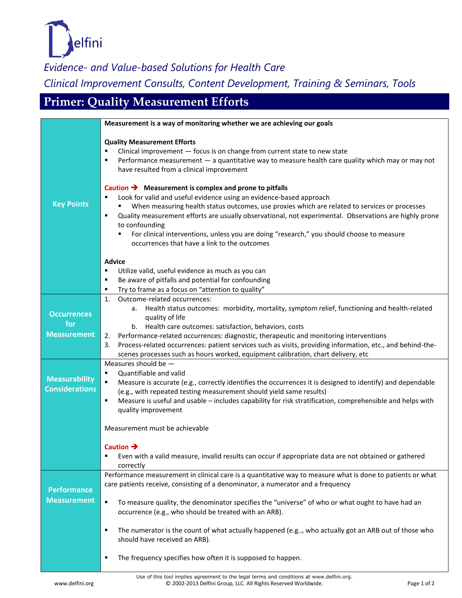

*Evidence- and Value-based Solutions for Health Care*

*Clinical Improvement Consults, Content Development, Training & Seminars, Tools*

## **Primer: Quality Measurement Efforts**

|                                                 | Measurement is a way of monitoring whether we are achieving our goals                                                                                                                                                                                                                                                                                                                                                                                                                                                          |
|-------------------------------------------------|--------------------------------------------------------------------------------------------------------------------------------------------------------------------------------------------------------------------------------------------------------------------------------------------------------------------------------------------------------------------------------------------------------------------------------------------------------------------------------------------------------------------------------|
|                                                 | <b>Quality Measurement Efforts</b><br>Clinical improvement - focus is on change from current state to new state<br>Performance measurement - a quantitative way to measure health care quality which may or may not<br>٠<br>have resulted from a clinical improvement                                                                                                                                                                                                                                                          |
| <b>Key Points</b>                               | Caution $\rightarrow$ Measurement is complex and prone to pitfalls<br>Look for valid and useful evidence using an evidence-based approach<br>When measuring health status outcomes, use proxies which are related to services or processes<br>Quality measurement efforts are usually observational, not experimental. Observations are highly prone<br>٠<br>to confounding<br>For clinical interventions, unless you are doing "research," you should choose to measure<br>occurrences that have a link to the outcomes       |
|                                                 | <b>Advice</b><br>Utilize valid, useful evidence as much as you can<br>٠<br>Be aware of pitfalls and potential for confounding<br>٠<br>Try to frame as a focus on "attention to quality"<br>٠                                                                                                                                                                                                                                                                                                                                   |
| <b>Occurrences</b><br>for<br><b>Measurement</b> | Outcome-related occurrences:<br>1.<br>Health status outcomes: morbidity, mortality, symptom relief, functioning and health-related<br>а.<br>quality of life<br>b. Health care outcomes: satisfaction, behaviors, costs<br>Performance-related occurrences: diagnostic, therapeutic and monitoring interventions<br>2.<br>Process-related occurrences: patient services such as visits, providing information, etc., and behind-the-<br>3.<br>scenes processes such as hours worked, equipment calibration, chart delivery, etc |
| <b>Measurability</b><br><b>Considerations</b>   | Measures should be $-$<br>Quantifiable and valid<br>٠<br>Measure is accurate (e.g., correctly identifies the occurrences it is designed to identify) and dependable<br>(e.g., with repeated testing measurement should yield same results)<br>Measure is useful and usable - includes capability for risk stratification, comprehensible and helps with<br>٠<br>quality improvement                                                                                                                                            |
|                                                 | Measurement must be achievable                                                                                                                                                                                                                                                                                                                                                                                                                                                                                                 |
|                                                 | Caution $\rightarrow$<br>Even with a valid measure, invalid results can occur if appropriate data are not obtained or gathered<br>correctly                                                                                                                                                                                                                                                                                                                                                                                    |
| <b>Performance</b><br><b>Measurement</b>        | Performance measurement in clinical care is a quantitative way to measure what is done to patients or what<br>care patients receive, consisting of a denominator, a numerator and a frequency<br>To measure quality, the denominator specifies the "universe" of who or what ought to have had an<br>٠                                                                                                                                                                                                                         |
|                                                 | occurrence (e.g., who should be treated with an ARB).<br>The numerator is the count of what actually happened (e.g, who actually got an ARB out of those who<br>٠<br>should have received an ARB).                                                                                                                                                                                                                                                                                                                             |
|                                                 | The frequency specifies how often it is supposed to happen.<br>$\blacksquare$                                                                                                                                                                                                                                                                                                                                                                                                                                                  |